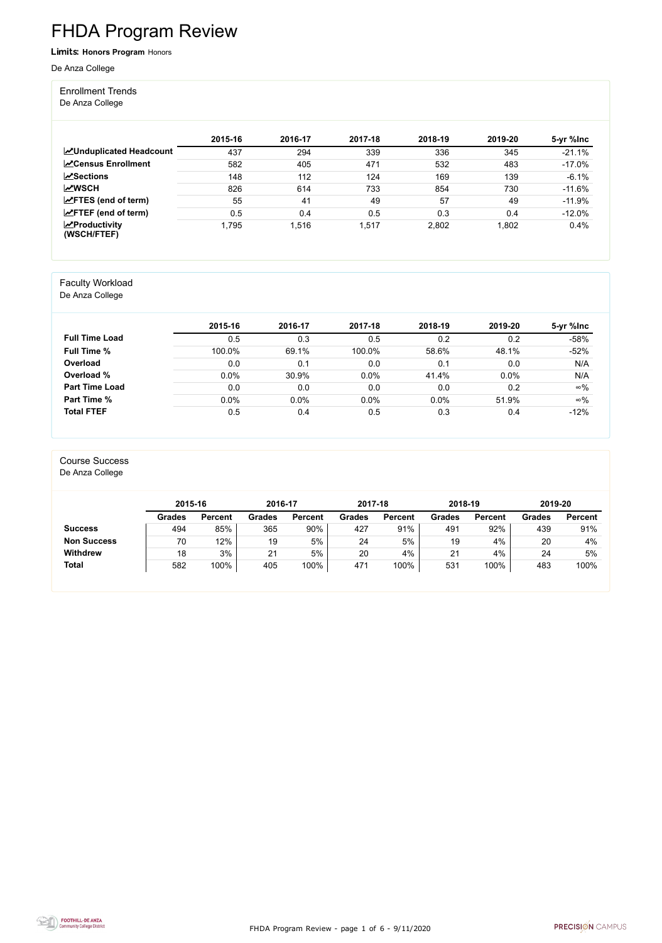FHDA Program Review - page 1 of 6 - 9/11/2020



# FHDA Program Review

Limits: **Honors Program** Honors

De Anza College

#### Enrollment Trends

De Anza College

|                                                  | 2015-16 | 2016-17 | 2017-18 | 2018-19 | 2019-20 | 5-yr %lnc |
|--------------------------------------------------|---------|---------|---------|---------|---------|-----------|
| <b>ZUnduplicated Headcount</b>                   | 437     | 294     | 339     | 336     | 345     | $-21.1%$  |
| <b>ZCensus Enrollment</b>                        | 582     | 405     | 471     | 532     | 483     | $-17.0\%$ |
| $\sqrt{S}$ ections                               | 148     | 112     | 124     | 169     | 139     | $-6.1%$   |
| <b>MWSCH</b>                                     | 826     | 614     | 733     | 854     | 730     | $-11.6%$  |
| $\angle$ FTES (end of term)                      | 55      | 41      | 49      | 57      | 49      | $-11.9%$  |
| $\angle$ FTEF (end of term)                      | 0.5     | 0.4     | 0.5     | 0.3     | 0.4     | $-12.0%$  |
| $\sqrt{\frac{1}{2}}$ Productivity<br>(WSCH/FTEF) | 1,795   | 1,516   | 1,517   | 2,802   | 1,802   | 0.4%      |

#### Faculty Workload

De Anza College

|                       | 2015-16 | 2016-17 | 2017-18 | 2018-19 | 2019-20 | 5-yr %lnc  |
|-----------------------|---------|---------|---------|---------|---------|------------|
| <b>Full Time Load</b> | 0.5     | 0.3     | 0.5     | 0.2     | 0.2     | $-58%$     |
| <b>Full Time %</b>    | 100.0%  | 69.1%   | 100.0%  | 58.6%   | 48.1%   | $-52%$     |
| Overload              | 0.0     | 0.1     | 0.0     | 0.1     | 0.0     | N/A        |
| Overload %            | 0.0%    | 30.9%   | 0.0%    | 41.4%   | 0.0%    | N/A        |
| <b>Part Time Load</b> | 0.0     | 0.0     | 0.0     | 0.0     | 0.2     | $\infty\%$ |
| <b>Part Time %</b>    | 0.0%    | 0.0%    | 0.0%    | 0.0%    | 51.9%   | $\infty\%$ |
| <b>Total FTEF</b>     | 0.5     | 0.4     | 0.5     | 0.3     | 0.4     | $-12%$     |

#### Course Success

De Anza College

|                    | 2015-16       |                | 2016-17       |                | 2017-18       |                | 2018-19       |                | 2019-20       |                |
|--------------------|---------------|----------------|---------------|----------------|---------------|----------------|---------------|----------------|---------------|----------------|
|                    | <b>Grades</b> | <b>Percent</b> | <b>Grades</b> | <b>Percent</b> | <b>Grades</b> | <b>Percent</b> | <b>Grades</b> | <b>Percent</b> | <b>Grades</b> | <b>Percent</b> |
| <b>Success</b>     | 494           | 85%            | 365           | 90%            | 427           | 91%            | 491           | 92%            | 439           | 91%            |
| <b>Non Success</b> | 70            | 12%            | 19            | 5%             | 24            | 5%             | 19            | 4%             | 20            | 4%             |
| <b>Withdrew</b>    | 18            | 3%             | 21            | 5%             | 20            | 4%             | 21            | 4%             | 24            | 5%             |
| <b>Total</b>       | 582           | 100%           | 405           | 100%           | 471           | 100%           | 531           | 100%           | 483           | 100%           |

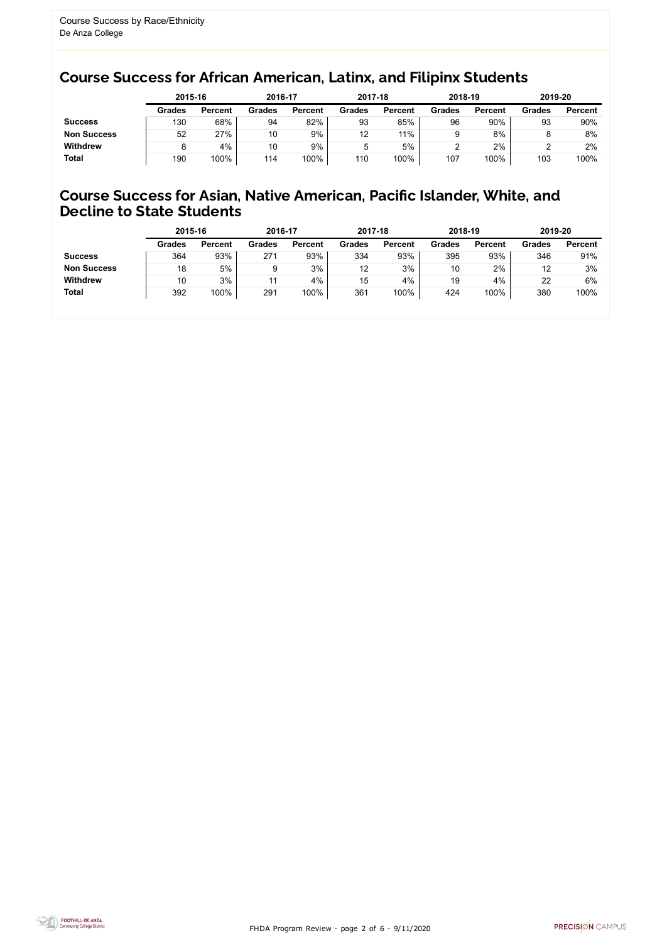FHDA Program Review - page 2 of 6 - 9/11/2020



### Course Success for African American, Latinx, and Filipinx Students

### Course Success for Asian, Native American, Pacific Islander, White, and Decline to State Students

|                    |               | 2015-16        |               | 2016-17        |               | 2017-18        | 2018-19       |                | 2019-20       |                |
|--------------------|---------------|----------------|---------------|----------------|---------------|----------------|---------------|----------------|---------------|----------------|
|                    | <b>Grades</b> | <b>Percent</b> | <b>Grades</b> | <b>Percent</b> | <b>Grades</b> | <b>Percent</b> | <b>Grades</b> | <b>Percent</b> | <b>Grades</b> | <b>Percent</b> |
| <b>Success</b>     | 130           | 68%            | 94            | 82%            | 93            | 85%            | 96            | 90%            | 93            | 90%            |
| <b>Non Success</b> | 52            | 27%            | 10            | 9%             | 12            | 11%            |               | 8%             |               | 8%             |
| <b>Withdrew</b>    |               | 4%             | 10            | 9%             | 5             | 5%             |               | 2%             |               | 2%             |
| <b>Total</b>       | 190           | 100%           | 114           | 100%           | 110           | 100%           | 107           | 100%           | 103           | 100%           |

|                    | 2015-16       |                | 2016-17       |                | 2017-18       |                | 2018-19       |                | 2019-20       |                |
|--------------------|---------------|----------------|---------------|----------------|---------------|----------------|---------------|----------------|---------------|----------------|
|                    | <b>Grades</b> | <b>Percent</b> | <b>Grades</b> | <b>Percent</b> | <b>Grades</b> | <b>Percent</b> | <b>Grades</b> | <b>Percent</b> | <b>Grades</b> | <b>Percent</b> |
| <b>Success</b>     | 364           | 93%            | 271           | 93%            | 334           | 93%            | 395           | 93%            | 346           | 91%            |
| <b>Non Success</b> | 18            | 5%             |               | 3%             | 12            | 3%             | 10            | 2%             | 12            | 3%             |
| <b>Withdrew</b>    | 10            | 3%             | 11            | 4%             | 15            | 4%             | 19            | 4%             | 22            | 6%             |
| <b>Total</b>       | 392           | 100%           | 291           | 100%           | 361           | 100%           | 424           | 100%           | 380           | 100%           |
|                    |               |                |               |                |               |                |               |                |               |                |

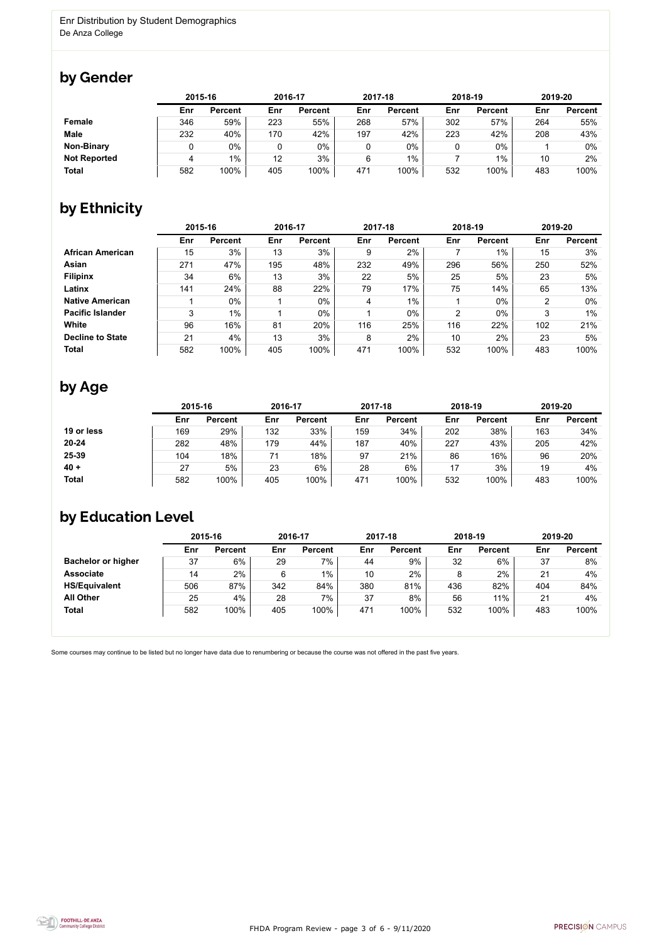FHDA Program Review - page 3 of 6 - 9/11/2020



Some courses may continue to be listed but no longer have data due to renumbering or because the course was not offered in the past five years.



# by Gender

|                     |     | 2015-16        |     | 2016-17        |     | 2017-18        |     | 2018-19        |     | 2019-20        |  |
|---------------------|-----|----------------|-----|----------------|-----|----------------|-----|----------------|-----|----------------|--|
|                     | Enr | <b>Percent</b> | Enr | <b>Percent</b> | Enr | <b>Percent</b> | Enr | <b>Percent</b> | Enr | <b>Percent</b> |  |
| <b>Female</b>       | 346 | 59%            | 223 | 55%            | 268 | 57%            | 302 | 57%            | 264 | 55%            |  |
| <b>Male</b>         | 232 | 40%            | 170 | 42%            | 197 | 42%            | 223 | 42%            | 208 | 43%            |  |
| <b>Non-Binary</b>   |     | $0\%$          | 0   | $0\%$          |     | $0\%$          |     | $0\%$          |     | $0\%$          |  |
| <b>Not Reported</b> | 4   | $1\%$          | 12  | 3%             | 6   | $1\%$          |     | $1\%$          | 10  | 2%             |  |
| <b>Total</b>        | 582 | 100%           | 405 | 100%           | 471 | 100%           | 532 | 100%           | 483 | 100%           |  |

# by Ethnicity

|                         | 2015-16 |                |     | 2016-17        |     | 2017-18        |                | 2018-19        | 2019-20 |                |
|-------------------------|---------|----------------|-----|----------------|-----|----------------|----------------|----------------|---------|----------------|
|                         | Enr     | <b>Percent</b> | Enr | <b>Percent</b> | Enr | <b>Percent</b> | Enr            | <b>Percent</b> | Enr     | <b>Percent</b> |
| <b>African American</b> | 15      | 3%             | 13  | 3%             | 9   | 2%             |                | $1\%$          | 15      | 3%             |
| <b>Asian</b>            | 271     | 47%            | 195 | 48%            | 232 | 49%            | 296            | 56%            | 250     | 52%            |
| <b>Filipinx</b>         | 34      | 6%             | 13  | 3%             | 22  | 5%             | 25             | 5%             | 23      | 5%             |
| Latinx                  | 141     | 24%            | 88  | 22%            | 79  | 17%            | 75             | 14%            | 65      | 13%            |
| <b>Native American</b>  |         | $0\%$          |     | $0\%$          | 4   | $1\%$          |                | $0\%$          | 2       | $0\%$          |
| <b>Pacific Islander</b> | 3       | $1\%$          |     | 0%             |     | $0\%$          | $\overline{2}$ | $0\%$          | 3       | $1\%$          |
| White                   | 96      | 16%            | 81  | 20%            | 116 | 25%            | 116            | 22%            | 102     | 21%            |
| <b>Decline to State</b> | 21      | 4%             | 13  | 3%             | 8   | 2%             | 10             | 2%             | 23      | 5%             |
| <b>Total</b>            | 582     | 100%           | 405 | 100%           | 471 | 100%           | 532            | 100%           | 483     | 100%           |

## by Age

|              | 2015-16 |                |     | 2016-17        |     | 2017-18        |     | 2018-19        | 2019-20 |                |
|--------------|---------|----------------|-----|----------------|-----|----------------|-----|----------------|---------|----------------|
|              | Enr     | <b>Percent</b> | Enr | <b>Percent</b> | Enr | <b>Percent</b> | Enr | <b>Percent</b> | Enr     | <b>Percent</b> |
| 19 or less   | 169     | 29%            | 132 | 33%            | 159 | 34%            | 202 | 38%            | 163     | 34%            |
| $20 - 24$    | 282     | 48%            | 179 | 44%            | 187 | 40%            | 227 | 43%            | 205     | 42%            |
| 25-39        | 104     | 18%            |     | 18%            | 97  | 21%            | 86  | 16%            | 96      | 20%            |
| $40 +$       | 27      | 5%             | 23  | 6%             | 28  | 6%             | 17  | 3%             | 19      | 4%             |
| <b>Total</b> | 582     | 100%           | 405 | 100%           | 471 | 100%           | 532 | 100%           | 483     | 100%           |

# by Education Level

|                           | 2015-16 |                |     | 2016-17        |     | 2017-18        |     | 2018-19        | 2019-20 |                |
|---------------------------|---------|----------------|-----|----------------|-----|----------------|-----|----------------|---------|----------------|
|                           | Enr     | <b>Percent</b> | Enr | <b>Percent</b> | Enr | <b>Percent</b> | Enr | <b>Percent</b> | Enr     | <b>Percent</b> |
| <b>Bachelor or higher</b> | 37      | 6%             | 29  | $7\%$          | 44  | 9%             | 32  | 6%             | 37      | 8%             |
| <b>Associate</b>          | 14      | 2%             | 6   | $1\%$          | 10  | 2%             |     | 2%             | 21      | 4%             |
| <b>HS/Equivalent</b>      | 506     | 87%            | 342 | 84%            | 380 | 81%            | 436 | 82%            | 404     | 84%            |
| <b>All Other</b>          | 25      | 4%             | 28  | 7%             | 37  | 8%             | 56  | 11%            | 21      | 4%             |
| <b>Total</b>              | 582     | 100%           | 405 | 100%           | 471 | 100%           | 532 | 100%           | 483     | 100%           |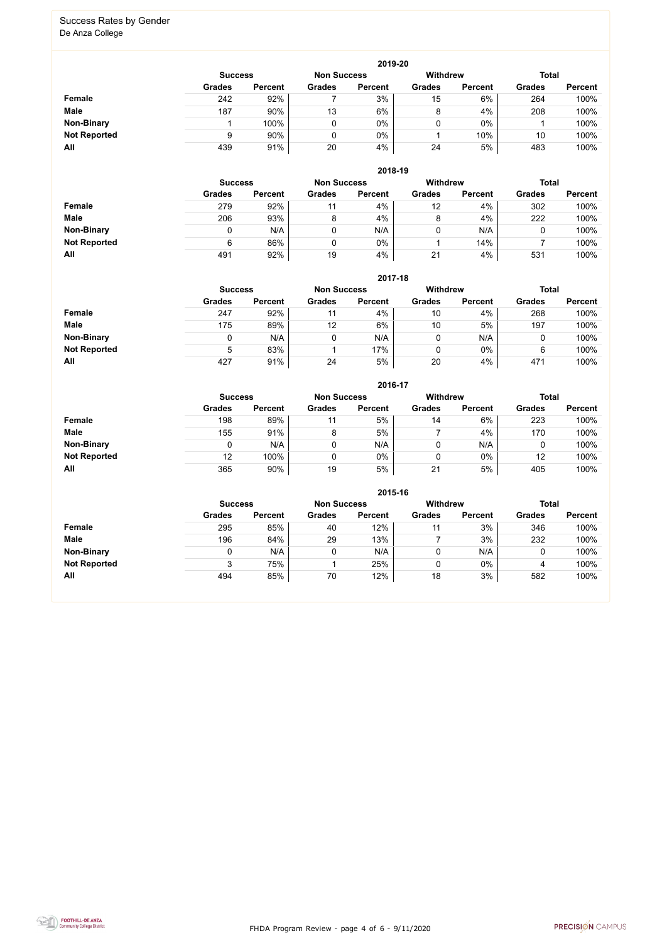FHDA Program Review - page 4 of 6 - 9/11/2020



#### Success Rates by Gender De Anza College

|                     | 2019-20        |                |                    |                |                 |                |               |                |  |  |  |  |  |
|---------------------|----------------|----------------|--------------------|----------------|-----------------|----------------|---------------|----------------|--|--|--|--|--|
|                     | <b>Success</b> |                | <b>Non Success</b> |                | <b>Withdrew</b> |                | <b>Total</b>  |                |  |  |  |  |  |
|                     | <b>Grades</b>  | <b>Percent</b> | <b>Grades</b>      | <b>Percent</b> | <b>Grades</b>   | <b>Percent</b> | <b>Grades</b> | <b>Percent</b> |  |  |  |  |  |
| Female              | 242            | 92%            |                    | 3%             | 15              | 6%             | 264           | 100%           |  |  |  |  |  |
| <b>Male</b>         | 187            | 90%            | 13                 | 6%             | 8               | 4%             | 208           | 100%           |  |  |  |  |  |
| <b>Non-Binary</b>   |                | 100%           | 0                  | 0%             |                 | $0\%$          |               | 100%           |  |  |  |  |  |
| <b>Not Reported</b> |                | 90%            | $\overline{0}$     | 0%             |                 | 10%            | 10            | 100%           |  |  |  |  |  |
| All                 | 439            | 91%            | 20                 | 4%             | 24              | 5%             | 483           | 100%           |  |  |  |  |  |

|                     | 2018-19       |                                      |               |                |               |                 |               |                |  |  |  |  |
|---------------------|---------------|--------------------------------------|---------------|----------------|---------------|-----------------|---------------|----------------|--|--|--|--|
|                     |               | <b>Non Success</b><br><b>Success</b> |               |                |               | <b>Withdrew</b> | <b>Total</b>  |                |  |  |  |  |
|                     | <b>Grades</b> | <b>Percent</b>                       | <b>Grades</b> | <b>Percent</b> | <b>Grades</b> | <b>Percent</b>  | <b>Grades</b> | <b>Percent</b> |  |  |  |  |
| <b>Female</b>       | 279           | 92%                                  | 11            | 4%             | 12            | 4%              | 302           | 100%           |  |  |  |  |
| <b>Male</b>         | 206           | 93%                                  | 8             | 4%             | 8             | 4%              | 222           | 100%           |  |  |  |  |
| <b>Non-Binary</b>   |               | N/A                                  | 0             | N/A            | 0             | N/A             | U             | 100%           |  |  |  |  |
| <b>Not Reported</b> | 6             | 86%                                  | 0             | 0%             |               | 14%             |               | 100%           |  |  |  |  |
| All                 | 491           | 92%                                  | 19            | 4%             | 21            | 4%              | 531           | 100%           |  |  |  |  |

|                     |                | 2017-18        |                    |                 |               |                |               |                |  |  |  |  |  |  |
|---------------------|----------------|----------------|--------------------|-----------------|---------------|----------------|---------------|----------------|--|--|--|--|--|--|
|                     | <b>Success</b> |                | <b>Non Success</b> | <b>Withdrew</b> |               | <b>Total</b>   |               |                |  |  |  |  |  |  |
|                     | <b>Grades</b>  | <b>Percent</b> | <b>Grades</b>      | <b>Percent</b>  | <b>Grades</b> | <b>Percent</b> | <b>Grades</b> | <b>Percent</b> |  |  |  |  |  |  |
| <b>Female</b>       | 247            | 92%            | 11                 | 4%              | 10            | 4%             | 268           | 100%           |  |  |  |  |  |  |
| <b>Male</b>         | 175            | 89%            | 12                 | 6%              | 10            | 5%             | 197           | 100%           |  |  |  |  |  |  |
| <b>Non-Binary</b>   | 0              | N/A            |                    | N/A             | 0             | N/A            | 0             | 100%           |  |  |  |  |  |  |
| <b>Not Reported</b> | 5              | 83%            |                    | 17%             | 0             | $0\%$          | 6             | 100%           |  |  |  |  |  |  |
| All                 | 427            | 91%            | 24                 | 5%              | 20            | 4%             | 471           | 100%           |  |  |  |  |  |  |

|                     |                |                |                    | 2016-17        |                 |                |               |                |
|---------------------|----------------|----------------|--------------------|----------------|-----------------|----------------|---------------|----------------|
|                     | <b>Success</b> |                | <b>Non Success</b> |                | <b>Withdrew</b> |                | <b>Total</b>  |                |
|                     | <b>Grades</b>  | <b>Percent</b> | <b>Grades</b>      | <b>Percent</b> | <b>Grades</b>   | <b>Percent</b> | <b>Grades</b> | <b>Percent</b> |
| Female              | 198            | 89%            | 11                 | 5%             | 14              | 6%             | 223           | 100%           |
| <b>Male</b>         | 155            | 91%            | 8                  | 5%             |                 | 4%             | 170           | 100%           |
| <b>Non-Binary</b>   | 0              | N/A            |                    | N/A            | 0               | N/A            |               | 100%           |
| <b>Not Reported</b> | 12             | 100%           |                    | $0\%$          | 0               | 0%             | 12            | 100%           |
| All                 | 365            | 90%            | 19                 | 5%             | 21              | 5%             | 405           | 100%           |

|                     |               |                                                         |               | 2015-16        |               |                |               |                |
|---------------------|---------------|---------------------------------------------------------|---------------|----------------|---------------|----------------|---------------|----------------|
|                     |               | <b>Withdrew</b><br><b>Non Success</b><br><b>Success</b> |               |                |               |                |               |                |
|                     | <b>Grades</b> | <b>Percent</b>                                          | <b>Grades</b> | <b>Percent</b> | <b>Grades</b> | <b>Percent</b> | <b>Grades</b> | <b>Percent</b> |
| <b>Female</b>       | 295           | 85%                                                     | 40            | 12%            | 11            | 3%             | 346           | 100%           |
| <b>Male</b>         | 196           | 84%                                                     | 29            | 13%            |               | 3%             | 232           | 100%           |
| <b>Non-Binary</b>   |               | N/A                                                     | 0             | N/A            |               | N/A            | 0             | 100%           |
| <b>Not Reported</b> | 3             | 75%                                                     |               | 25%            |               | $0\%$          | 4             | 100%           |
| All                 | 494           | 85%                                                     | 70            | 12%            | 18            | 3%             | 582           | 100%           |

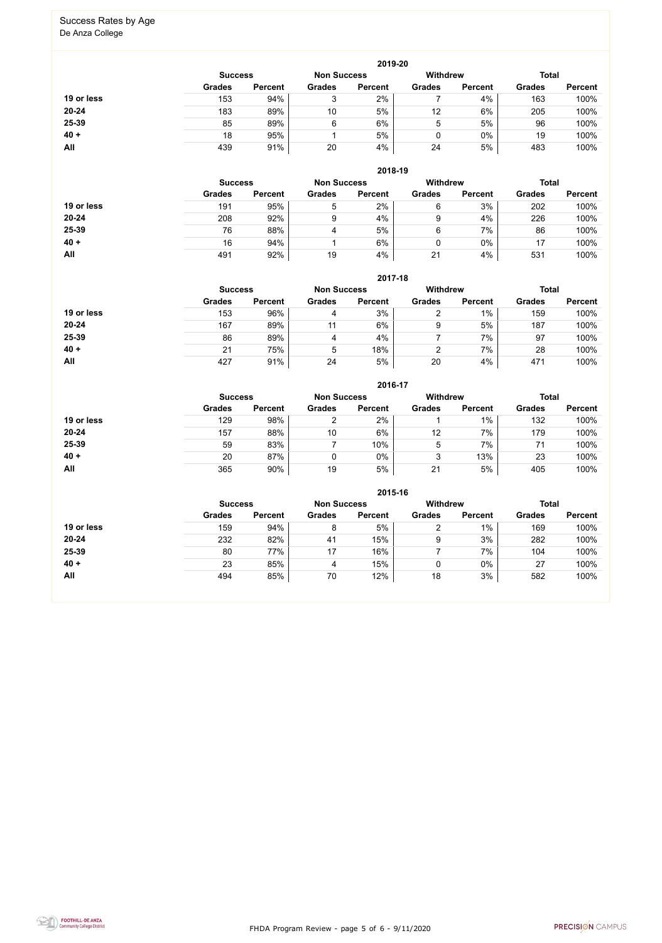FHDA Program Review - page 5 of 6 - 9/11/2020



# Success Rates by Age

De Anza College

|            |                |                |                    | 2019-20        |                 |                |               |                |
|------------|----------------|----------------|--------------------|----------------|-----------------|----------------|---------------|----------------|
|            | <b>Success</b> |                | <b>Non Success</b> |                | <b>Withdrew</b> |                | <b>Total</b>  |                |
|            | <b>Grades</b>  | <b>Percent</b> | <b>Grades</b>      | <b>Percent</b> | <b>Grades</b>   | <b>Percent</b> | <b>Grades</b> | <b>Percent</b> |
| 19 or less | 153            | 94%            | ◠                  | 2%             |                 | 4%             | 163           | 100%           |
| $20 - 24$  | 183            | 89%            | 10                 | 5%             | 12              | 6%             | 205           | 100%           |
| 25-39      | 85             | 89%            | 6                  | 6%             | 5               | 5%             | 96            | 100%           |
| $40 +$     | 18             | 95%            |                    | 5%             | 0               | 0%             | 19            | 100%           |
| All        | 439            | 91%            | 20                 | 4%             | 24              | 5%             | 483           | 100%           |

|            |                |                |                    | 2018-19        |               |                                 |               |                |
|------------|----------------|----------------|--------------------|----------------|---------------|---------------------------------|---------------|----------------|
|            | <b>Success</b> |                | <b>Non Success</b> |                |               | <b>Withdrew</b><br><b>Total</b> |               |                |
|            | <b>Grades</b>  | <b>Percent</b> | <b>Grades</b>      | <b>Percent</b> | <b>Grades</b> | <b>Percent</b>                  | <b>Grades</b> | <b>Percent</b> |
| 19 or less | 191            | 95%            | 5                  | 2%             | 6             | 3%                              | 202           | 100%           |
| $20 - 24$  | 208            | 92%            | 9                  | 4%             | 9             | 4%                              | 226           | 100%           |
| 25-39      | 76             | 88%            | 4                  | 5%             | 6             | 7%                              | 86            | 100%           |
| $40 +$     | 16             | 94%            |                    | 6%             |               | 0%                              | 17            | 100%           |
| All        | 491            | 92%            | 19                 | 4%             | 21            | 4%                              | 531           | 100%           |

#### **2017-18**

|            |                |                |                    | 2017-18        |                 |                |               |                |
|------------|----------------|----------------|--------------------|----------------|-----------------|----------------|---------------|----------------|
|            | <b>Success</b> |                | <b>Non Success</b> |                | <b>Withdrew</b> |                | <b>Total</b>  |                |
|            | <b>Grades</b>  | <b>Percent</b> | <b>Grades</b>      | <b>Percent</b> | <b>Grades</b>   | <b>Percent</b> | <b>Grades</b> | <b>Percent</b> |
| 19 or less | 153            | 96%            | 4                  | 3%             |                 | $1\%$          | 159           | 100%           |
| 20-24      | 167            | 89%            | 11                 | 6%             | 9               | 5%             | 187           | 100%           |
| 25-39      | 86             | 89%            | 4                  | 4%             |                 | 7%             | 97            | 100%           |
| $40 +$     | 21             | 75%            | 5                  | 18%            | ົ               | 7%             | 28            | 100%           |
| <b>All</b> | 427            | 91%            | 24                 | 5%             | 20              | 4%             | 471           | 100%           |

#### **2016-17**



|            |                |                |                    | ZU 10-17       |                 |                |               |                |
|------------|----------------|----------------|--------------------|----------------|-----------------|----------------|---------------|----------------|
|            | <b>Success</b> |                | <b>Non Success</b> |                | <b>Withdrew</b> |                | <b>Total</b>  |                |
|            | <b>Grades</b>  | <b>Percent</b> | <b>Grades</b>      | <b>Percent</b> | <b>Grades</b>   | <b>Percent</b> | <b>Grades</b> | <b>Percent</b> |
| 19 or less | 129            | 98%            |                    | 2%             |                 | 1%             | 132           | 100%           |
| 20-24      | 157            | 88%            | 10                 | 6%             | 12              | 7%             | 179           | 100%           |
| 25-39      | 59             | 83%            |                    | 10%            | 5               | 7%             | 71            | 100%           |
| $40 +$     | 20             | 87%            |                    | $0\%$          | ς<br>ບ          | 13%            | 23            | 100%           |
| All        | 365            | 90%            | 19                 | 5%             | 21              | 5%             | 405           | 100%           |

|            |                |                |                    | 2015-16        |                 |                |               |                |
|------------|----------------|----------------|--------------------|----------------|-----------------|----------------|---------------|----------------|
|            | <b>Success</b> |                | <b>Non Success</b> |                | <b>Withdrew</b> |                | <b>Total</b>  |                |
|            | <b>Grades</b>  | <b>Percent</b> | <b>Grades</b>      | <b>Percent</b> | <b>Grades</b>   | <b>Percent</b> | <b>Grades</b> | <b>Percent</b> |
| 19 or less | 159            | 94%            | 8                  | 5%             | າ               | $1\%$          | 169           | 100%           |
| 20-24      | 232            | 82%            | 41                 | 15%            | 9               | 3%             | 282           | 100%           |
| 25-39      | 80             | 77%            | 17                 | 16%            |                 | 7%             | 104           | 100%           |
| $40 +$     | 23             | 85%            | 4                  | 15%            |                 | 0%             | 27            | 100%           |
| All        | 494            | 85%            | 70                 | 12%            | 18              | 3%             | 582           | 100%           |